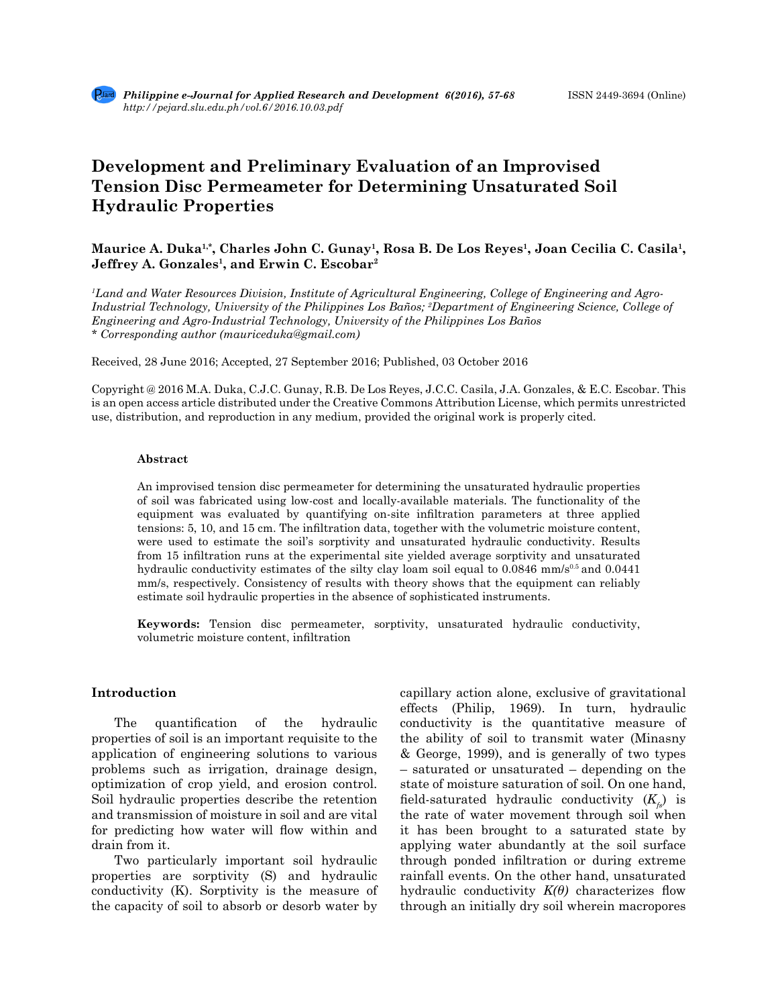# **Development and Preliminary Evaluation of an Improvised Tension Disc Permeameter for Determining Unsaturated Soil Hydraulic Properties**

## **Maurice A. Duka1,\*, Charles John C. Gunay1, Rosa B. De Los Reyes1, Joan Cecilia C. Casila1,**  Jeffrey A. Gonzales<sup>1</sup>, and Erwin C. Escobar<sup>2</sup>

*1 Land and Water Resources Division, Institute of Agricultural Engineering, College of Engineering and Agro-Industrial Technology, University of the Philippines Los Baños; 2 Department of Engineering Science, College of Engineering and Agro-Industrial Technology, University of the Philippines Los Baños \* Corresponding author (mauriceduka@gmail.com)*

Received, 28 June 2016; Accepted, 27 September 2016; Published, 03 October 2016

Copyright @ 2016 M.A. Duka, C.J.C. Gunay, R.B. De Los Reyes, J.C.C. Casila, J.A. Gonzales, & E.C. Escobar. This is an open access article distributed under the Creative Commons Attribution License, which permits unrestricted use, distribution, and reproduction in any medium, provided the original work is properly cited.

### **Abstract**

An improvised tension disc permeameter for determining the unsaturated hydraulic properties of soil was fabricated using low-cost and locally-available materials. The functionality of the equipment was evaluated by quantifying on-site infiltration parameters at three applied tensions: 5, 10, and 15 cm. The infiltration data, together with the volumetric moisture content, were used to estimate the soil's sorptivity and unsaturated hydraulic conductivity. Results from 15 infiltration runs at the experimental site yielded average sorptivity and unsaturated hydraulic conductivity estimates of the silty clay loam soil equal to  $0.0846$  mm/s<sup>0.5</sup> and  $0.0441$ mm/s, respectively. Consistency of results with theory shows that the equipment can reliably estimate soil hydraulic properties in the absence of sophisticated instruments.

**Keywords:** Tension disc permeameter, sorptivity, unsaturated hydraulic conductivity, volumetric moisture content, infiltration

## **Introduction**

The quantification of the hydraulic properties of soil is an important requisite to the application of engineering solutions to various problems such as irrigation, drainage design, optimization of crop yield, and erosion control. Soil hydraulic properties describe the retention and transmission of moisture in soil and are vital for predicting how water will flow within and drain from it.

Two particularly important soil hydraulic properties are sorptivity (S) and hydraulic conductivity (K). Sorptivity is the measure of the capacity of soil to absorb or desorb water by capillary action alone, exclusive of gravitational effects (Philip, 1969). In turn, hydraulic conductivity is the quantitative measure of the ability of soil to transmit water (Minasny & George, 1999), and is generally of two types – saturated or unsaturated – depending on the state of moisture saturation of soil. On one hand, field-saturated hydraulic conductivity  $(K_{\epsilon})$  is the rate of water movement through soil when it has been brought to a saturated state by applying water abundantly at the soil surface through ponded infiltration or during extreme rainfall events. On the other hand, unsaturated hydraulic conductivity *K(θ)* characterizes flow through an initially dry soil wherein macropores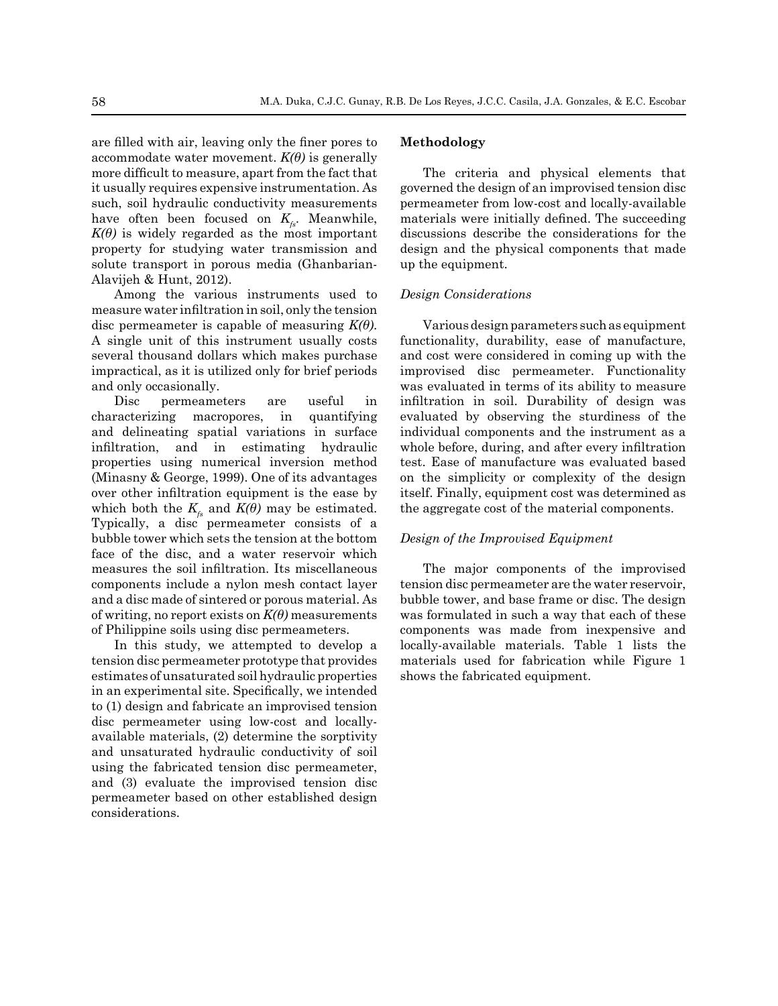are filled with air, leaving only the finer pores to accommodate water movement.  $K(\theta)$  is generally more difficult to measure, apart from the fact that it usually requires expensive instrumentation. As such, soil hydraulic conductivity measurements have often been focused on  $K_{\epsilon}$ . Meanwhile,  $K(\theta)$  is widely regarded as the most important property for studying water transmission and solute transport in porous media (Ghanbarian-Alavijeh & Hunt, 2012).

Among the various instruments used to measure water infiltration in soil, only the tension disc permeameter is capable of measuring *K(θ)*. A single unit of this instrument usually costs several thousand dollars which makes purchase impractical, as it is utilized only for brief periods and only occasionally.

Disc permeameters are useful in characterizing macropores, in quantifying and delineating spatial variations in surface infiltration, and in estimating hydraulic properties using numerical inversion method (Minasny & George, 1999). One of its advantages over other infiltration equipment is the ease by which both the  $K_f$  and  $K(\theta)$  may be estimated. Typically, a disc permeameter consists of a bubble tower which sets the tension at the bottom face of the disc, and a water reservoir which measures the soil infiltration. Its miscellaneous components include a nylon mesh contact layer and a disc made of sintered or porous material. As of writing, no report exists on  $K(\theta)$  measurements of Philippine soils using disc permeameters.

In this study, we attempted to develop a tension disc permeameter prototype that provides estimates of unsaturated soil hydraulic properties in an experimental site. Specifically, we intended to (1) design and fabricate an improvised tension disc permeameter using low-cost and locallyavailable materials, (2) determine the sorptivity and unsaturated hydraulic conductivity of soil using the fabricated tension disc permeameter, and (3) evaluate the improvised tension disc permeameter based on other established design considerations.

## **Methodology**

The criteria and physical elements that governed the design of an improvised tension disc permeameter from low-cost and locally-available materials were initially defined. The succeeding discussions describe the considerations for the design and the physical components that made up the equipment.

### *Design Considerations*

Various design parameters such as equipment functionality, durability, ease of manufacture, and cost were considered in coming up with the improvised disc permeameter. Functionality was evaluated in terms of its ability to measure infiltration in soil. Durability of design was evaluated by observing the sturdiness of the individual components and the instrument as a whole before, during, and after every infiltration test. Ease of manufacture was evaluated based on the simplicity or complexity of the design itself. Finally, equipment cost was determined as the aggregate cost of the material components.

## *Design of the Improvised Equipment*

The major components of the improvised tension disc permeameter are the water reservoir, bubble tower, and base frame or disc. The design was formulated in such a way that each of these components was made from inexpensive and locally-available materials. Table 1 lists the materials used for fabrication while Figure 1 shows the fabricated equipment.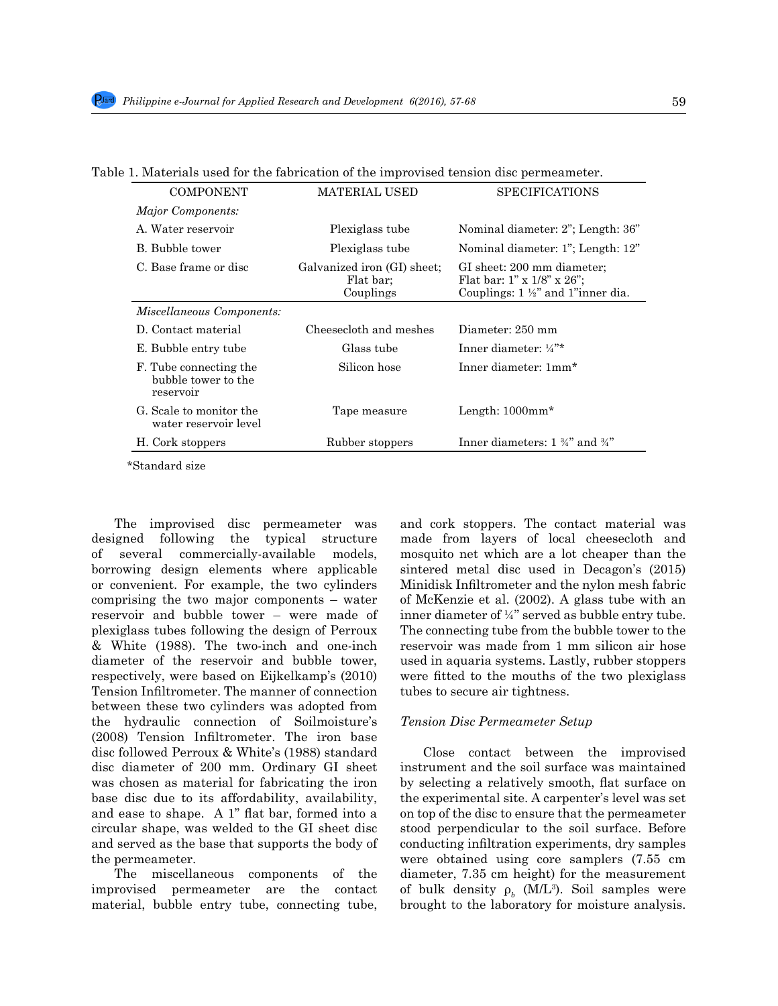| COMPONENT                                                  | <b>MATERIAL USED</b>                                  | <b>SPECIFICATIONS</b>                                                                                         |  |
|------------------------------------------------------------|-------------------------------------------------------|---------------------------------------------------------------------------------------------------------------|--|
| <i>Major Components:</i>                                   |                                                       |                                                                                                               |  |
| A. Water reservoir                                         | Plexiglass tube                                       | Nominal diameter: 2"; Length: 36"                                                                             |  |
| B. Bubble tower                                            | Plexiglass tube                                       | Nominal diameter: 1"; Length: 12"                                                                             |  |
| C. Base frame or disc                                      | Galvanized iron (GI) sheet;<br>Flat bar:<br>Couplings | GI sheet: 200 mm diameter;<br>Flat bar: 1" x $1/8$ " x $26$ ";<br>Couplings: $1 \frac{1}{2}$ and 1 inner dia. |  |
| <i>Miscellaneous Components:</i>                           |                                                       |                                                                                                               |  |
| D. Contact material                                        | Cheesecloth and meshes                                | Diameter: 250 mm                                                                                              |  |
| E. Bubble entry tube                                       | Glass tube                                            | Inner diameter: $\frac{1}{4}$ <sup>**</sup>                                                                   |  |
| F. Tube connecting the<br>bubble tower to the<br>reservoir | Silicon hose                                          | Inner diameter: 1mm*                                                                                          |  |
| G. Scale to monitor the<br>water reservoir level           | Tape measure                                          | Length: $1000$ mm <sup>*</sup>                                                                                |  |
| H. Cork stoppers                                           | Rubber stoppers                                       | Inner diameters: $1\frac{3}{4}$ and $\frac{3}{4}$ "                                                           |  |

Table 1. Materials used for the fabrication of the improvised tension disc permeameter.

\*Standard size

The improvised disc permeameter was designed following the typical structure of several commercially-available models, borrowing design elements where applicable or convenient. For example, the two cylinders comprising the two major components – water reservoir and bubble tower – were made of plexiglass tubes following the design of Perroux & White (1988). The two-inch and one-inch diameter of the reservoir and bubble tower, respectively, were based on Eijkelkamp's (2010) Tension Infiltrometer. The manner of connection between these two cylinders was adopted from the hydraulic connection of Soilmoisture's (2008) Tension Infiltrometer. The iron base disc followed Perroux & White's (1988) standard disc diameter of 200 mm. Ordinary GI sheet was chosen as material for fabricating the iron base disc due to its affordability, availability, and ease to shape. A 1" flat bar, formed into a circular shape, was welded to the GI sheet disc and served as the base that supports the body of the permeameter.

The miscellaneous components of the improvised permeameter are the contact material, bubble entry tube, connecting tube, and cork stoppers. The contact material was made from layers of local cheesecloth and mosquito net which are a lot cheaper than the sintered metal disc used in Decagon's (2015) Minidisk Infiltrometer and the nylon mesh fabric of McKenzie et al. (2002). A glass tube with an inner diameter of ¼" served as bubble entry tube. The connecting tube from the bubble tower to the reservoir was made from 1 mm silicon air hose used in aquaria systems. Lastly, rubber stoppers were fitted to the mouths of the two plexiglass tubes to secure air tightness.

### *Tension Disc Permeameter Setup*

Close contact between the improvised instrument and the soil surface was maintained by selecting a relatively smooth, flat surface on the experimental site. A carpenter's level was set on top of the disc to ensure that the permeameter stood perpendicular to the soil surface. Before conducting infiltration experiments, dry samples were obtained using core samplers (7.55 cm diameter, 7.35 cm height) for the measurement of bulk density  $\rho_b$  (M/L<sup>3</sup>). Soil samples were brought to the laboratory for moisture analysis.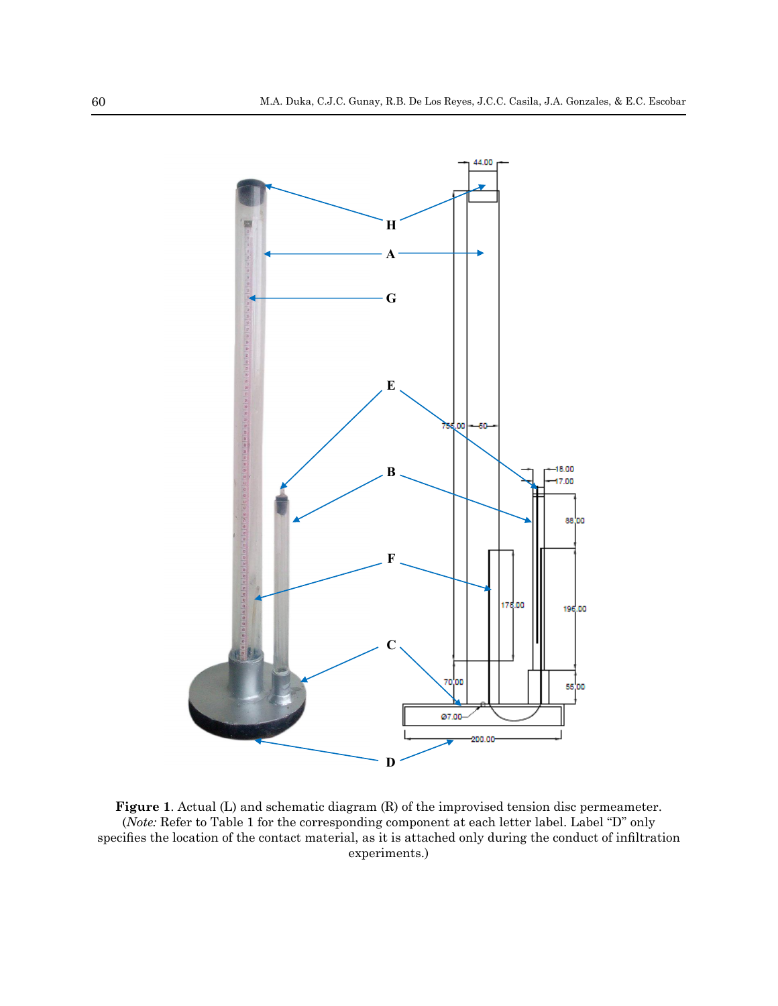4



**Figure 1**. Actual (L) and schematic diagram (R) of the improvised tension disc permeameter. (*Note:* Refer to Table 1 for the corresponding component at each letter label. Label "D" only specifies the location of the contact material, as it is attached only during the conduct of infiltration experiments.)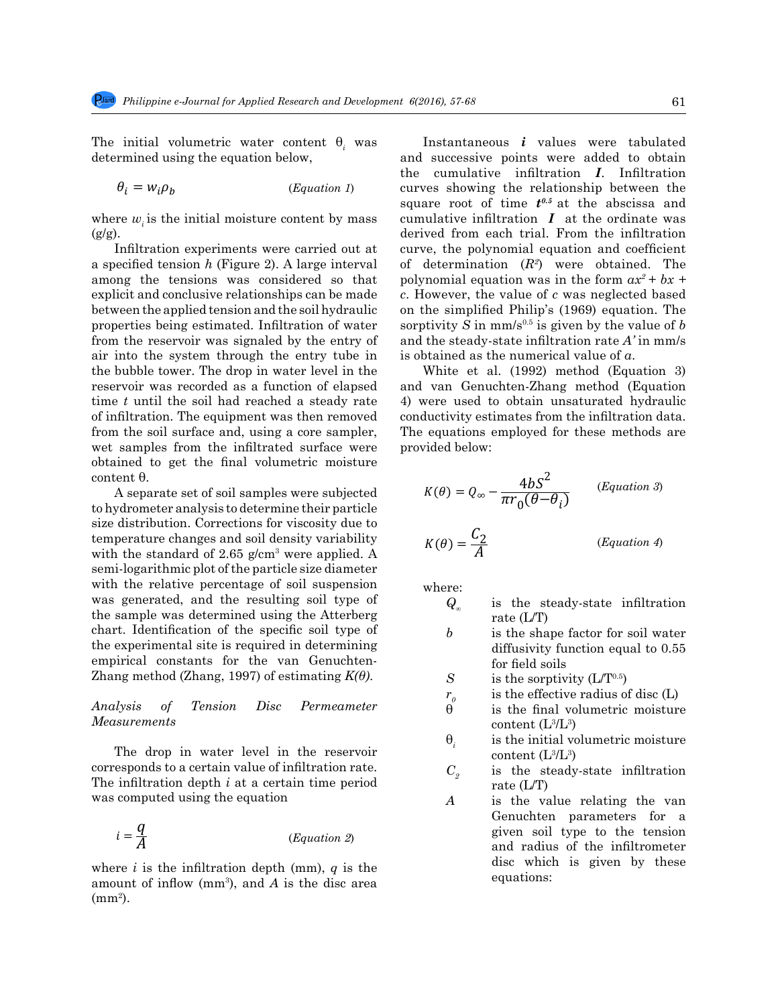diameter, 7.35 cm height) for the measurement of bulk density *ρ<sup>b</sup>* (M/L<sup>3</sup>

determined using the equation below, determined using the equation below,

(*Equation 1*)

where  $w_i$  is the initial moisture content by mass  $(g/g)$ .

a specifical consisting  $\alpha$  (1.9 and 2). It has generated the concentration  $\alpha$  (1.9) were estended in the form  $ax^2 + bx +$ explicit and conclusive relationships can be made  $\overrightarrow{c}$ . However, the value of c was neglected base between the applied tension and the soil hydraulic on the simplified Philip's (1969) equation. T properties being estimated. Infiltration of water sorptivity S in  $mm/s^{0.5}$  is given by the value of b<br>from the properties we simpled by the patron of a partition that is filtration with discussion from the reservoir was signaled by the entry of and the steady-state infiltration rate A' in mr air into the system through the entry tube in is obtained as the numerical value of  $a$ .<br>
the hubble tower The draw in weten level in the White at al. (1002) method (Equation reservoir was recorded as a function of elapsed and varior was recorded as a function of elapsed from the soil surface and, using a core sampler, The equations employed for these methods are wet samples from the infiltrated surface were provided below:  $\frac{1}{\sqrt{2}}$  obtained to get the final volumetric moisture Infiltration experiments were carried out at a specified tension *h* (Figure 2). A large interval among the tensions was considered so that properties being estimated. Infiltration of water sorptivity  $\overline{S}$  in mm/s<sup>0.5</sup> is given by the bubble tower. The drop in water level in the White et al. (1992) method time *t* until the soil had reached a steady rate of infiltration. The equipment was then removed conductivity estimates from the in from the soil surface and, using a core sampler, content θ.  $\mathbf{I}^{\text{L}}$  and  $\mathbf{I}^{\text{R}}$  and  $\mathbf{I}^{\text{R}}$  and  $\mathbf{I}^{\text{R}}$  and  $\mathbf{I}^{\text{R}}$ 

to hydrometer analysis to determine their particle  $\pi r_0(\theta - \theta_i)$ size distribution. Corrections for viscosity due to **of water from the reservoir was signaled by the system of a** semi-logarithmic plot of the particle size diameter was generated, and the resulting son type of  $Q_x$  is the steady-state inflitration the sample was determined using the Atterberg rate (L/T)  $\frac{a}{b}$  and  $\frac{b}{c}$  and  $\frac{c}{d}$  and  $\frac{c}{d}$  are the specific soil type of  $\frac{b}{d}$  is the shape factor empirical constants for the van Genuchten-<br>  $\frac{1000 \text{ N}}{2 \text{ N}} = \frac{1000 \text{ N}}{2 \text{ N}} = \frac{1000 \text{ N}}{2 \text{ N}} = \frac{1000 \text{ N}}{2 \text{ N}} = \frac{1000 \text{ N}}{2 \text{ N}} = \frac{1000 \text{ N}}{2 \text{ N}} = \frac{1000 \text{ N}}{2 \text{ N}} = \frac{1000 \text{ N}}{2 \text{ N}} = \frac{1000 \text{ N}}{2 \text$  $E$ <sup>2</sup> Empirical constants for the van Genuchten the sample of the soils<br>  $E$  Zhang method (Zhang, 1997) of estimating  $K(\theta)$ . S is the sorptivity (L/T<sup>0.5</sup>) temperature changes and soil density variability  $\frac{C_2}{d}$   $\frac{C_2}{d}$  ( with the standard of 2.65 g/cm<sup>3</sup> were applied. A  $A$   $A$ with the relative percentage of soil suspension was generated, and the resulting soil type of the experimental site is required in determining diffusivity function

## $Analysis$  of Tension Disc Permeameter  $\stackrel{\circ}{\theta}$  is the  $Measurements$

The drop in water lever in the reservoir<br>corresponds to a certain value of infiltration rate.<br> $C_i$  is the steady-state infiltration The infiltration depth *i* at a certain time period  $C_2$  is the steady-state infiltration depth *i* at a certain time period rate (L/T) was computed using the equation  $A$  is the value relating the v The drop in water level in the reservoir

$$
i = \frac{q}{A}
$$
 (Equation 2)

where  $i$  is the infiltration depth (mm),  $q$  is the amount of inflow  $(mm<sup>3</sup>)$ , and *A* is the disc area  $\text{(mm)}$ .

The initial volumetric water content  $\theta$ <sub>*i*</sub> was **Instantaneous** *i* values were tabulat  $\theta_i = w_i \rho_b$  (*Equation 1*) curves showing the relationship between the  $\text{R}$  specified tension *h* (Figure 2). A large interval of determination  $(R^2)$  were obtained. The cumulative infiltration  $I$  at the ordinate was and the steady-state initiation rate *n* in mm/s<br>is obtained as the numerical value of *a*. Instantaneous *i* values were tabulated and successive points were added to obtain the cumulative infiltration *I*. Infiltration square root of time  $t^{0.5}$  at the abscissa and derived from each trial. From the infiltration curve, the polynomial equation and coefficient *c*. However, the value of *c* was neglected based on the simplified Philip's (1969) equation. The and the steady-state infiltration rate  $A'$  in mm/s

filtration. The equipment was then removed conductivity estimates from the infiltration data. is obtained as the numerical value of  $a$ .<br>White et al. (1992) method (Equation 3) and van Genuchten-Zhang method (Equation *b*) 4) were used to obtain unsaturated hydraulic provided below:

content 
$$
\theta
$$
.  
A separate set of soil samples were subjected to hydrometer analysis to determine their particle

$$
K(\theta) = \frac{C_2}{A}
$$
 (Equation 4)

where: where: where:

- $\overline{Q}$  is the steady-state infinite infinite infinite  $\overline{Q}$  is the steady-state (L/T) in  $\overline{Q}$  $\mathbf{b}$  is the steady-state infinitation equals (1.555)  $Q_{\infty}$  is the steady-state infiltration  $\text{rate (L/T)}$ rate (L/T)
- $\frac{1}{2}$  is the shape factor for soil water *S* the shape factor for so diffusivity function equal to  $0.55$ <br>for field soils for field soils
- $S$  is the sorptivity (L/T<sup>0.5</sup>)
- $r_o$  is the effective radius of disc (L)
	- $\hat{\theta}$  is the final volumetric moisture content  $(L^3/L^3)$
	- to the tension and radius of the initial volumetric moisture  $\frac{1}{2}$  is the initial volumetric moisture content (L $^3$ /L $^3$ )  $\theta_i$  is the initial volumetric moisture<br>
	content ( $\frac{13}{13}$  <sup>3)</sup>
	- $C_2$  is the steady-state infiltration rate (L/T)
- **From the infinite of determination** and determination and determination of determination of determination of determination (*R*<sub>2</sub>.91) was computed using the equation  $A$  is the value relating the van  $\overline{A}$  (*Equation 2*) given soll type to the tension and radius of the infiltrometer equations<sup>.</sup>  $=$  11.65(1.4)<br> **A** is the value relating the van disc which is given by these  $\epsilon$  equations:  $\frac{1}{2}$  =  $\frac{1}{2}$   $\frac{1}{2}$   $\frac{1}{2}$   $\frac{1}{2}$   $\frac{1}{2}$   $\frac{1}{2}$   $\frac{1}{2}$   $\frac{1}{2}$   $\frac{1}{2}$   $\frac{1}{2}$   $\frac{1}{2}$   $\frac{1}{2}$   $\frac{1}{2}$   $\frac{1}{2}$   $\frac{1}{2}$   $\frac{1}{2}$   $\frac{1}{2}$   $\frac{1}{2}$   $\frac{1}{2}$   $\frac{1}{2}$   $\frac{1}{2}$ 1.9 given by these given soil type to the tension

). Soil samples were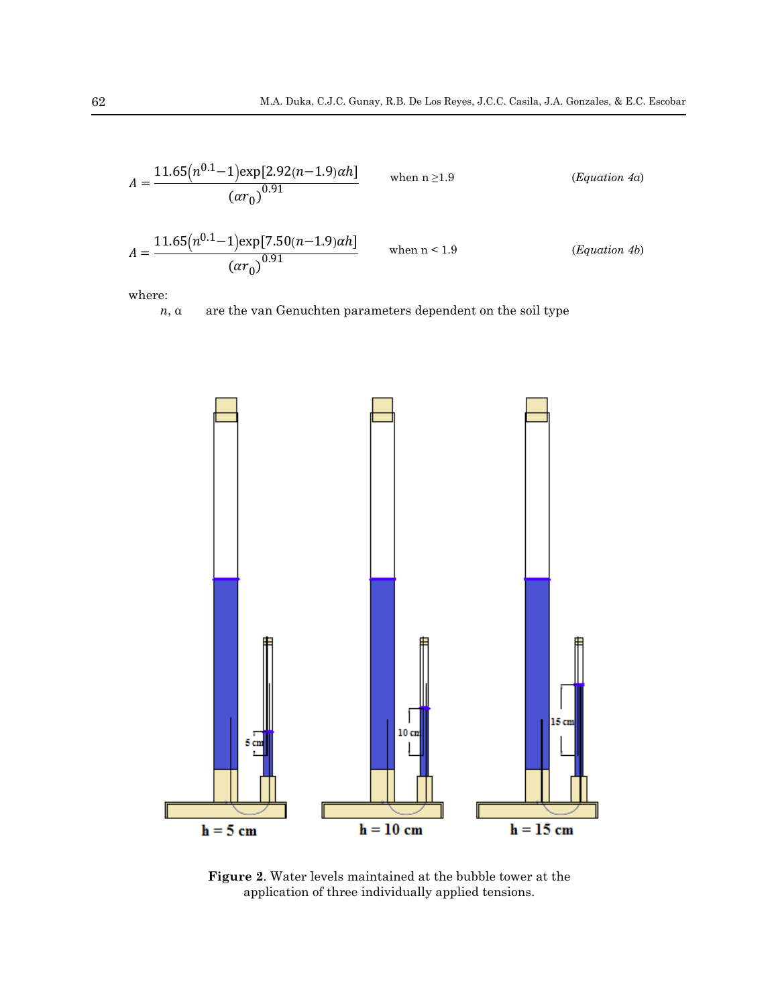$$
A = \frac{11.65(n^{0.1} - 1) \exp[2.92(n-1.9)\alpha h]}{(ar_0)^{0.91}}
$$
 when n \ge 1.9 (Equation 4a)  

$$
A = \frac{11.65(n^{0.1} - 1) \exp[7.50(n-1.9)\alpha h]}{(ar_0)^{0.91}}
$$
 when n < 1.9 (Equation 4b)

type to the tension and radius of the infinite of the infinite of the infinite of the infinite of the infinite of the infinite of the infinite of the infinite of the infinite of the infinite of the infinite of the infinit

where: where: where:

 $n, \alpha$  are the van Genuchten parameters dependent on the soil type



**Figure 2**. Water levels maintained at the bubble tower at the application of three individually applied tensions.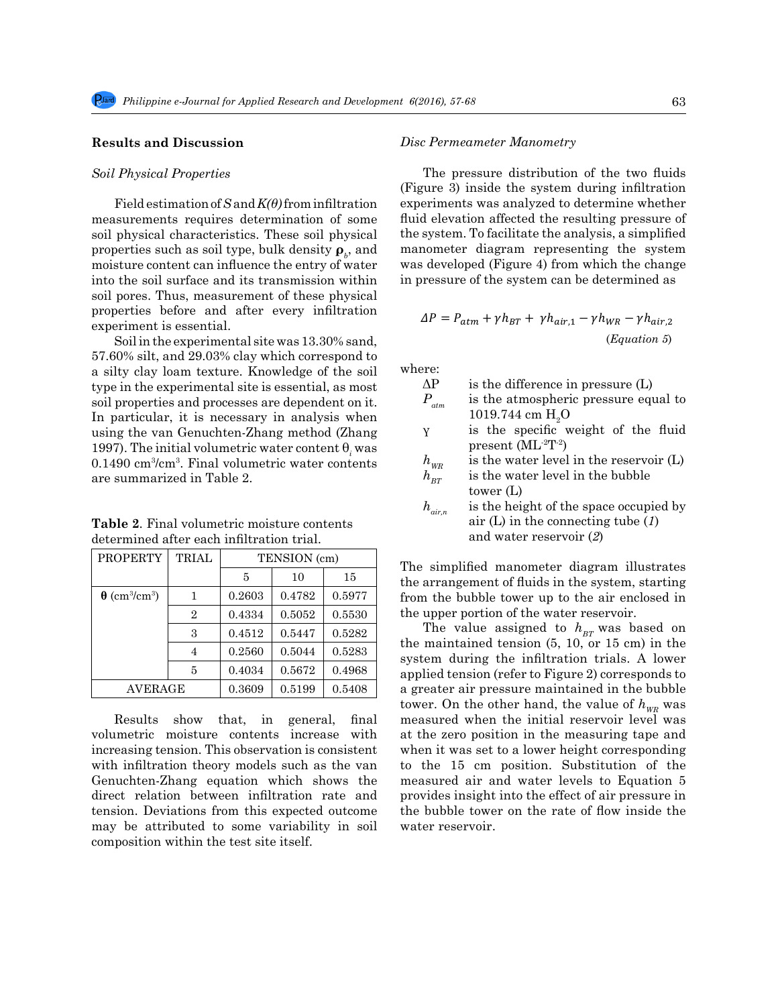## **Results and Discussion**

### *Soil Physical Properties*

Field estimation of *S* and *K(θ)* from infiltration measurements requires determination of some soil physical characteristics. These soil physical properties such as soil type, bulk density  $\boldsymbol{\rho}_b$ , and moisture content can influence the entry of water into the soil surface and its transmission within soil pores. Thus, measurement of these physical properties before and after every infiltration experiment is essential.

Soil in the experimental site was 13.30% sand, 57.60% silt, and 29.03% clay which correspond to a silty clay loam texture. Knowledge of the soil type in the experimental site is essential, as most soil properties and processes are dependent on it. In particular, it is necessary in analysis when using the van Genuchten-Zhang method (Zhang 1997). The initial volumetric water content  $\theta$ <sub>i</sub> was 0.1490 cm3 /cm3 . Final volumetric water contents are summarized in Table 2.  $\mathcal{L}$ 

**Table 2**. Final volumetric moisture contents determined after each infiltration trial.

| <b>PROPERTY</b>                              | <b>TRIAL</b>   | TENSION (cm) |        |        |  |
|----------------------------------------------|----------------|--------------|--------|--------|--|
|                                              |                | 5            | 10     | 15     |  |
| $\theta$ (cm <sup>3</sup> /cm <sup>3</sup> ) |                | 0.2603       | 0.4782 | 0.5977 |  |
|                                              | $\overline{2}$ | 0.4334       | 0.5052 | 0.5530 |  |
|                                              | 3              | 0.4512       | 0.5447 | 0.5282 |  |
|                                              | 4              | 0.2560       | 0.5044 | 0.5283 |  |
|                                              | 5              | 0.4034       | 0.5672 | 0.4968 |  |
| AVERAGE                                      |                | 0.3609       | 0.5199 | 0.5408 |  |

Results show that, in general, final volumetric moisture contents increase with increasing tension. This observation is consistent with infiltration theory models such as the van Genuchten-Zhang equation which shows the direct relation between infiltration rate and tension. Deviations from this expected outcome may be attributed to some variability in soil composition within the test site itself.

## *Disc Permeameter Manometry*

The pressure distribution of the two fluids (Figure 3) inside the system during infiltration experiments was analyzed to determine whether fluid elevation affected the resulting pressure of the system. To facilitate the analysis, a simplified I manometer diagram representing the system was developed (Figure 4) from which the change in pressure of the system can be determined as

$$
\Delta P = P_{atm} + \gamma h_{BT} + \gamma h_{air,1} - \gamma h_{WR} - \gamma h_{air,2}
$$
  
(Equation 5)

 $P$  is the difference in pressure ( $P$ ) and  $P$  is the difference in pressure ( $P$ ) and  $P$ where:

| $\Delta P$                  | is the difference in pressure (L)       |
|-----------------------------|-----------------------------------------|
| $P_{_{atm}}$                | is the atmospheric pressure equal to    |
|                             | 1019.744 cm $H9O$                       |
| γ                           | is the specific weight of the fluid     |
|                             | present $(ML^2T^2)$                     |
| $h_{_{WR}}$                 | is the water level in the reservoir (L) |
| $h_{\scriptscriptstyle RT}$ | is the water level in the bubble        |
|                             | tower $(L)$                             |
| $h_{_{air,n}}$              | is the height of the space occupied by  |
|                             | air (L) in the connecting tube $(1)$    |
|                             | and water reservoir $(2)$               |
|                             |                                         |

The simplified manometer diagram illustrates the simplified inanometer diagram indistrates<br>the arrangement of fluids in the system, starting from the bubble tower up to the air enclosed in the upper portion of the water reservoir.

The value assigned to  $h_{BT}$  was based on the maintained tension  $(5, 10, \text{or } 15 \text{ cm})$  in the system during the infiltration trials. A lower applied tension (refer to Figure 2) corresponds to a greater air pressure maintained in the bubble tower. On the other hand, the value of  $h_{WR}$  was measured when the initial reservoir level was at the zero position in the measuring tape and when it was set to a lower height corresponding to the 15 cm position. Substitution of the measured air and water levels to Equation 5 provides insight into the effect of air pressure in the bubble tower on the rate of flow inside the water reservoir.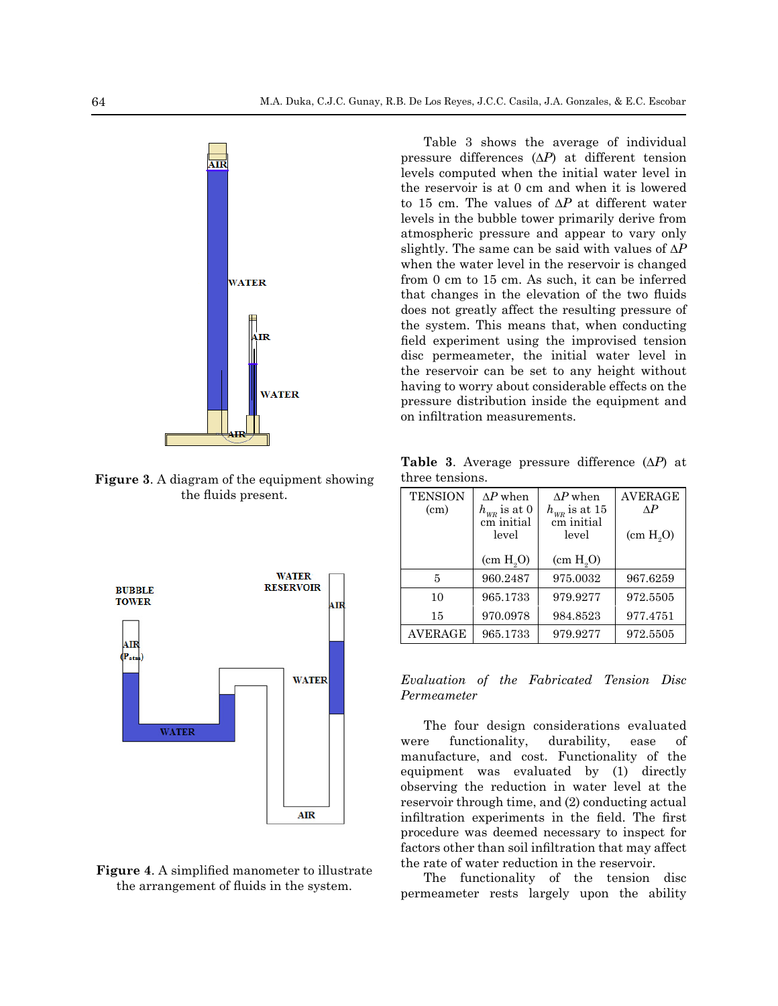

**Figure 3**. A diagram of the equipment showing the fluids present.



**Figure 4**. A simplified manometer to illustrate the arrangement of fluids in the system.

Table 3 shows the average of individual pressure differences (*∆P*) at different tension levels computed when the initial water level in the reservoir is at 0 cm and when it is lowered to 15 cm. The values of *∆P* at different water levels in the bubble tower primarily derive from atmospheric pressure and appear to vary only slightly. The same can be said with values of *∆P* when the water level in the reservoir is changed from 0 cm to 15 cm. As such, it can be inferred that changes in the elevation of the two fluids does not greatly affect the resulting pressure of the system. This means that, when conducting field experiment using the improvised tension disc permeameter, the initial water level in the reservoir can be set to any height without having to worry about considerable effects on the pressure distribution inside the equipment and on infiltration measurements.

**Table 3**. Average pressure difference (*∆P*) at three tensions.

| <b>TENSION</b><br>(cm) | $\Delta P$ when<br>$h_{\rm\scriptscriptstyle WR}$ is at $0$<br>cm initial<br>level | $\Delta P$ when<br>$h_{\rm\scriptscriptstyle WR}$ is at $15$<br>cm initial<br>level | <b>AVERAGE</b><br>$\Lambda P$<br>(cm H <sub>0</sub> O) |
|------------------------|------------------------------------------------------------------------------------|-------------------------------------------------------------------------------------|--------------------------------------------------------|
|                        | (cm H <sub>9</sub> O)                                                              | (cm H <sub>9</sub> O)                                                               |                                                        |
| 5                      | 960.2487                                                                           | 975.0032                                                                            | 967.6259                                               |
| 10                     | 965.1733                                                                           | 979.9277                                                                            | 972.5505                                               |
| 15                     | 970.0978                                                                           | 984.8523                                                                            | 977.4751                                               |
| <b>AVERAGE</b>         | 965.1733                                                                           | 979.9277                                                                            | 972.5505                                               |

*Evaluation of the Fabricated Tension Disc Permeameter*

The four design considerations evaluated were functionality, durability, ease of manufacture, and cost. Functionality of the equipment was evaluated by (1) directly observing the reduction in water level at the reservoir through time, and (2) conducting actual infiltration experiments in the field. The first procedure was deemed necessary to inspect for factors other than soil infiltration that may affect the rate of water reduction in the reservoir.

The functionality of the tension disc permeameter rests largely upon the ability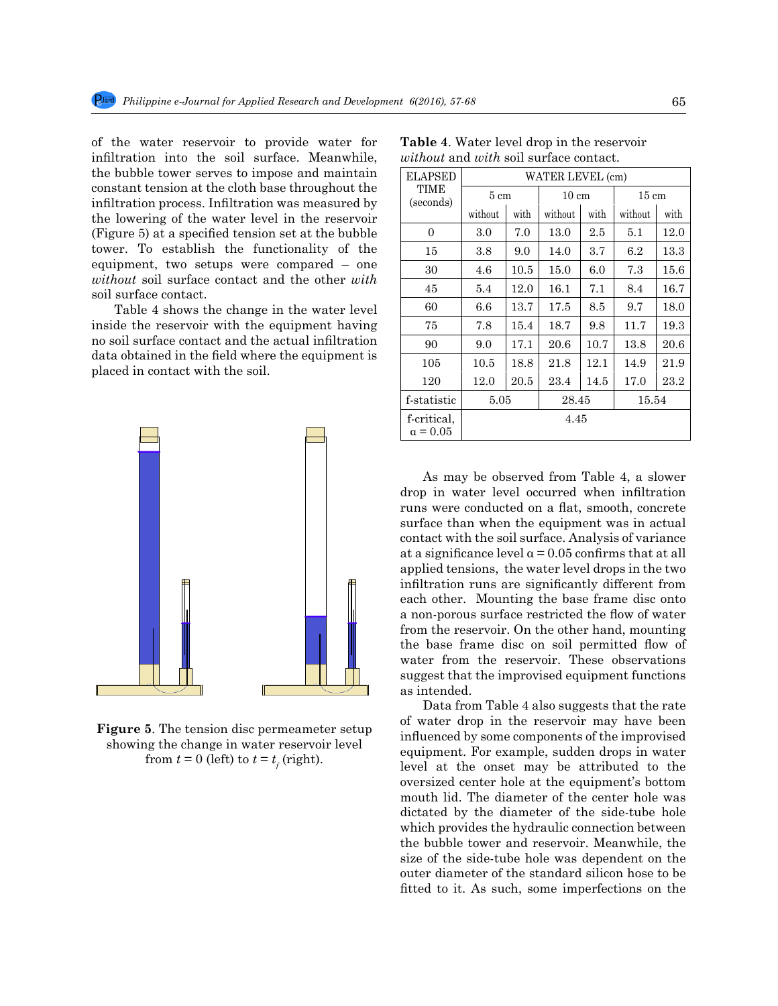of the water reservoir to provide water for infiltration into the soil surface. Meanwhile, the bubble tower serves to impose and maintain constant tension at the cloth base throughout the infiltration process. Infiltration was measured by the lowering of the water level in the reservoir (Figure 5) at a specified tension set at the bubble tower. To establish the functionality of the equipment, two setups were compared – one *without* soil surface contact and the other *with* soil surface contact.

Table 4 shows the change in the water level inside the reservoir with the equipment having no soil surface contact and the actual infiltration data obtained in the field where the equipment is placed in contact with the soil.



**Figure 5**. The tension disc permeameter setup showing the change in water reservoir level from  $t = 0$  (left) to  $t = t_f$  (right).

| ELAPSED                        | WATER LEVEL (cm) |          |                 |         |                 |      |
|--------------------------------|------------------|----------|-----------------|---------|-----------------|------|
| TIME<br>(seconds)              | $5 \text{ cm}$   |          | $10 \text{ cm}$ |         | $15 \text{ cm}$ |      |
|                                | without          | with     | without         | with    | without         | with |
| 0                              | 3.0              | 7.0      | 13.0            | $2.5\,$ | 5.1             | 12.0 |
| 15                             | 3.8              | 9.0      | 14.0            | 3.7     | $6.2\,$         | 13.3 |
| 30                             | 4.6              | $10.5\,$ | 15.0            | 6.0     | 7.3             | 15.6 |
| 45                             | 5.4              | 12.0     | 16.1            | 7.1     | 8.4             | 16.7 |
| 60                             | 6.6              | 13.7     | 17.5            | 8.5     | 9.7             | 18.0 |
| 75                             | 7.8              | 15.4     | 18.7            | 9.8     | 11.7            | 19.3 |
| 90                             | 9.0              | 17.1     | 20.6            | 10.7    | 13.8            | 20.6 |
| 105                            | 10.5             | 18.8     | 21.8            | 12.1    | 14.9            | 21.9 |
| 120                            | 12.0             | $20.5\,$ | 23.4            | 14.5    | 17.0            | 23.2 |
| f-statistic                    | 5.05             |          | 28.45           |         | 15.54           |      |
| f-critical,<br>$\alpha = 0.05$ |                  |          | 4.45            |         |                 |      |

**Table 4**. Water level drop in the reservoir *without* and *with* soil surface contact.

As may be observed from Table 4, a slower drop in water level occurred when infiltration runs were conducted on a flat, smooth, concrete surface than when the equipment was in actual contact with the soil surface. Analysis of variance at a significance level  $\alpha$  = 0.05 confirms that at all applied tensions, the water level drops in the two infiltration runs are significantly different from each other. Mounting the base frame disc onto a non-porous surface restricted the flow of water from the reservoir. On the other hand, mounting the base frame disc on soil permitted flow of water from the reservoir. These observations suggest that the improvised equipment functions as intended.

Data from Table 4 also suggests that the rate of water drop in the reservoir may have been influenced by some components of the improvised equipment. For example, sudden drops in water level at the onset may be attributed to the oversized center hole at the equipment's bottom mouth lid. The diameter of the center hole was dictated by the diameter of the side-tube hole which provides the hydraulic connection between the bubble tower and reservoir. Meanwhile, the size of the side-tube hole was dependent on the outer diameter of the standard silicon hose to be fitted to it. As such, some imperfections on the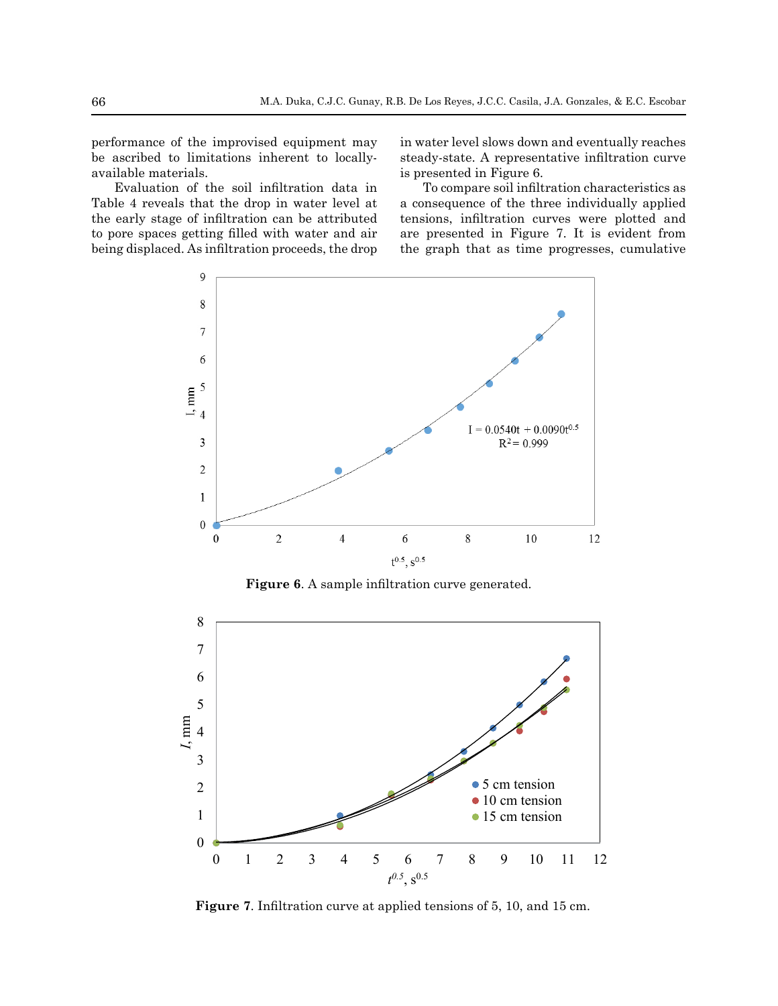performance of the improvised equipment may be ascribed to limitations inherent to locallyavailable materials.

Evaluation of the soil infiltration data in Table 4 reveals that the drop in water level at the early stage of infiltration can be attributed to pore spaces getting filled with water and air being displaced. As infiltration proceeds, the drop in water level slows down and eventually reaches steady-state. A representative infiltration curve is presented in Figure 6.

To compare soil infiltration characteristics as a consequence of the three individually applied tensions, infiltration curves were plotted and are presented in Figure 7. It is evident from the graph that as time progresses, cumulative



**Figure 6**. A sample infiltration curve generated.



Figure 7. Infiltration curve at applied tensions of 5, 10, and 15 cm. **Figure 7**. Infiltration curve at applied tensions of 5, 10, and 15 cm.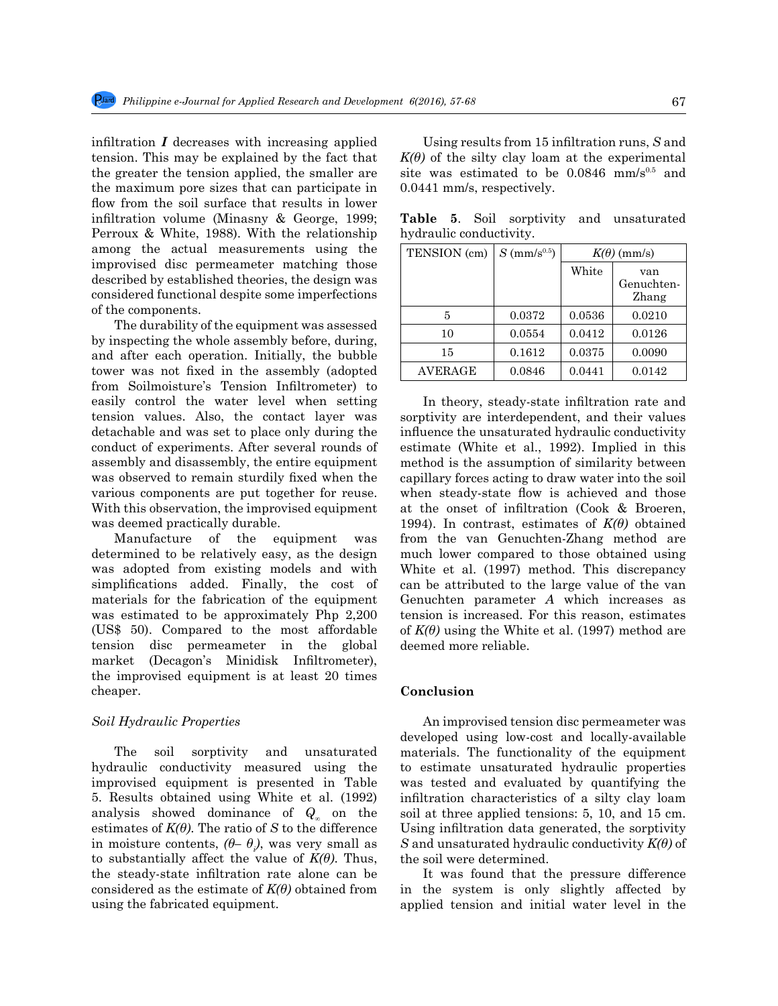infiltration *I* decreases with increasing applied tension. This may be explained by the fact that the greater the tension applied, the smaller are the maximum pore sizes that can participate in flow from the soil surface that results in lower infiltration volume (Minasny & George, 1999; Perroux & White, 1988). With the relationship among the actual measurements using the improvised disc permeameter matching those described by established theories, the design was considered functional despite some imperfections of the components.

The durability of the equipment was assessed by inspecting the whole assembly before, during, and after each operation. Initially, the bubble tower was not fixed in the assembly (adopted from Soilmoisture's Tension Infiltrometer) to easily control the water level when setting tension values. Also, the contact layer was detachable and was set to place only during the conduct of experiments. After several rounds of assembly and disassembly, the entire equipment was observed to remain sturdily fixed when the various components are put together for reuse. With this observation, the improvised equipment was deemed practically durable.

Manufacture of the equipment was determined to be relatively easy, as the design was adopted from existing models and with simplifications added. Finally, the cost of materials for the fabrication of the equipment was estimated to be approximately Php 2,200 (US\$ 50). Compared to the most affordable tension disc permeameter in the global market (Decagon's Minidisk Infiltrometer), the improvised equipment is at least 20 times cheaper.

#### *Soil Hydraulic Properties*

The soil sorptivity and unsaturated hydraulic conductivity measured using the improvised equipment is presented in Table 5. Results obtained using White et al. (1992) analysis showed dominance of *Q∞* on the estimates of  $K(\theta)$ . The ratio of *S* to the difference in moisture contents, *(θ– θ<sup>i</sup> )*, was very small as to substantially affect the value of  $K(\theta)$ . Thus, the steady-state infiltration rate alone can be considered as the estimate of *K(θ)* obtained from using the fabricated equipment.

Using results from 15 infiltration runs, *S* and  $K(\theta)$  of the silty clay loam at the experimental site was estimated to be  $0.0846$  mm/s $^{0.5}$  and 0.0441 mm/s, respectively.

**Table 5**. Soil sorptivity and unsaturated

| hydraulic conductivity. |                            |                    |                            |  |  |  |
|-------------------------|----------------------------|--------------------|----------------------------|--|--|--|
| TENSION (cm)            | $S$ (mm/s <sup>0.5</sup> ) | $K(\theta)$ (mm/s) |                            |  |  |  |
|                         |                            | White              | van<br>Genuchten-<br>Zhang |  |  |  |
| 5                       | 0.0372                     | 0.0536             | 0.0210                     |  |  |  |
| 10                      | 0.0554                     | 0.0412             | 0.0126                     |  |  |  |
| 15                      | 0.1612                     | 0.0375             | 0.0090                     |  |  |  |
| AVERAGE                 | 0.0846                     | 0.0441             | 0.0142                     |  |  |  |

In theory, steady-state infiltration rate and sorptivity are interdependent, and their values influence the unsaturated hydraulic conductivity estimate (White et al., 1992). Implied in this method is the assumption of similarity between capillary forces acting to draw water into the soil when steady-state flow is achieved and those at the onset of infiltration (Cook & Broeren, 1994). In contrast, estimates of *K(θ)* obtained from the van Genuchten-Zhang method are much lower compared to those obtained using White et al. (1997) method. This discrepancy can be attributed to the large value of the van Genuchten parameter *A* which increases as tension is increased. For this reason, estimates of  $K(\theta)$  using the White et al. (1997) method are deemed more reliable.

## **Conclusion**

An improvised tension disc permeameter was developed using low-cost and locally-available materials. The functionality of the equipment to estimate unsaturated hydraulic properties was tested and evaluated by quantifying the infiltration characteristics of a silty clay loam soil at three applied tensions: 5, 10, and 15 cm. Using infiltration data generated, the sorptivity *S* and unsaturated hydraulic conductivity *K(θ)* of the soil were determined.

It was found that the pressure difference in the system is only slightly affected by applied tension and initial water level in the